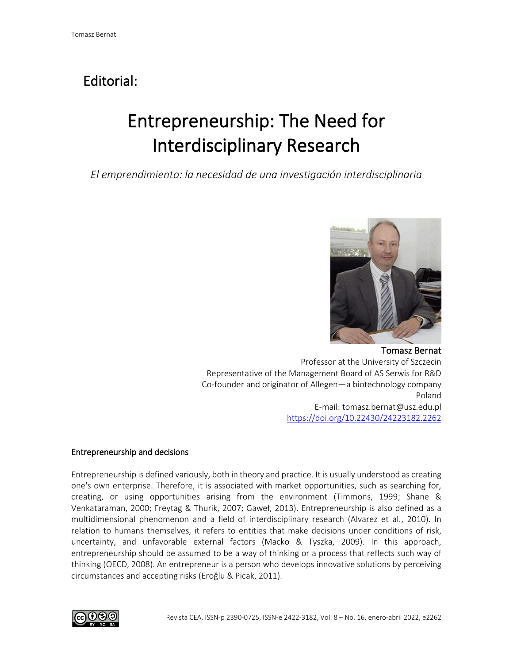## Editorial:

# Entrepreneurship: The Need for Interdisciplinary Research

*El emprendimiento: la necesidad de una investigación interdisciplinaria*



Tomasz Bernat Professor at the University of Szczecin Representative of the Management Board of AS Serwis for R&D Co-founder and originator of Allegen—a biotechnology company Poland E-mail: tomasz.bernat@usz.edu.pl <https://doi.org/10.22430/24223182.2262>

### Entrepreneurship and decisions

Entrepreneurship is defined variously, both in theory and practice. It is usually understood as creating one's own enterprise. Therefore, it is associated with market opportunities, such as searching for, creating, or using opportunities arising from the environment (Timmons, 1999; Shane & Venkataraman, 2000; Freytag & Thurik, 2007; Gaweł, 2013). Entrepreneurship is also defined as a multidimensional phenomenon and a field of interdisciplinary research (Alvarez et al., 2010). In relation to humans themselves, it refers to entities that make decisions under conditions of risk, uncertainty, and unfavorable external factors (Macko & Tyszka, 2009). In this approach, entrepreneurship should be assumed to be a way of thinking or a process that reflects such way of thinking (OECD, 2008). An entrepreneur is a person who develops innovative solutions by perceiving circumstances and accepting risks (Eroğlu & Picak, 2011).

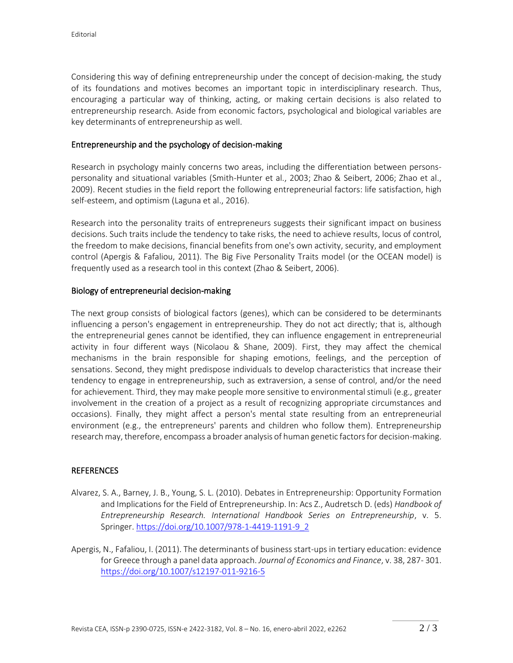Considering this way of defining entrepreneurship under the concept of decision-making, the study of its foundations and motives becomes an important topic in interdisciplinary research. Thus, encouraging a particular way of thinking, acting, or making certain decisions is also related to entrepreneurship research. Aside from economic factors, psychological and biological variables are key determinants of entrepreneurship as well.

#### Entrepreneurship and the psychology of decision-making

Research in psychology mainly concerns two areas, including the differentiation between personspersonality and situational variables (Smith-Hunter et al., 2003; Zhao & Seibert, 2006; Zhao et al., 2009). Recent studies in the field report the following entrepreneurial factors: life satisfaction, high self-esteem, and optimism (Laguna et al., 2016).

Research into the personality traits of entrepreneurs suggests their significant impact on business decisions. Such traits include the tendency to take risks, the need to achieve results, locus of control, the freedom to make decisions, financial benefits from one's own activity, security, and employment control (Apergis & Fafaliou, 2011). The Big Five Personality Traits model (or the OCEAN model) is frequently used as a research tool in this context (Zhao & Seibert, 2006).

#### Biology of entrepreneurial decision-making

The next group consists of biological factors (genes), which can be considered to be determinants influencing a person's engagement in entrepreneurship. They do not act directly; that is, although the entrepreneurial genes cannot be identified, they can influence engagement in entrepreneurial activity in four different ways (Nicolaou & Shane, 2009). First, they may affect the chemical mechanisms in the brain responsible for shaping emotions, feelings, and the perception of sensations. Second, they might predispose individuals to develop characteristics that increase their tendency to engage in entrepreneurship, such as extraversion, a sense of control, and/or the need for achievement. Third, they may make people more sensitive to environmental stimuli (e.g., greater involvement in the creation of a project as a result of recognizing appropriate circumstances and occasions). Finally, they might affect a person's mental state resulting from an entrepreneurial environment (e.g., the entrepreneurs' parents and children who follow them). Entrepreneurship research may, therefore, encompass a broader analysis of human genetic factors for decision-making.

#### **REFERENCES**

- Alvarez, S. A., Barney, J. B., Young, S. L. (2010). Debates in Entrepreneurship: Opportunity Formation and Implications for the Field of Entrepreneurship. In: Acs Z., Audretsch D. (eds) *Handbook of Entrepreneurship Research. International Handbook Series on Entrepreneurship*, v. 5. Springer[. https://doi.org/10.1007/978-1-4419-1191-9\\_2](https://doi.org/10.1007/978-1-4419-1191-9_2)
- Apergis, N., Fafaliou, I. (2011). The determinants of business start-ups in tertiary education: evidence for Greece through a panel data approach. *Journal of Economics and Finance*, v. 38, 287- 301. <https://doi.org/10.1007/s12197-011-9216-5>